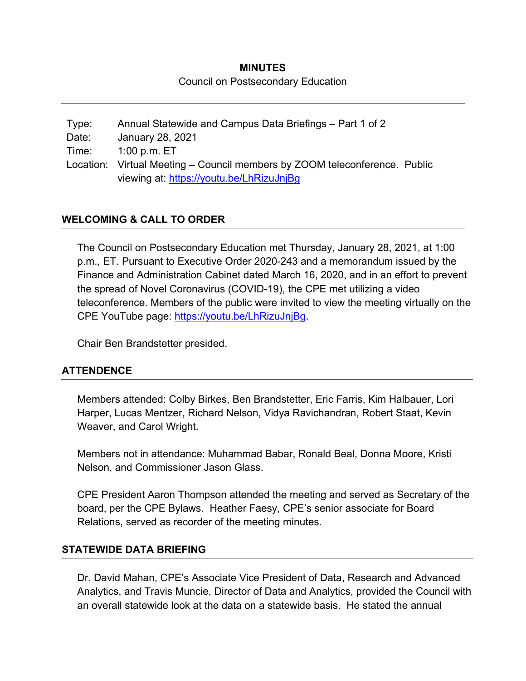# **MINUTES**  Council on Postsecondary Education

Type: Annual Statewide and Campus Data Briefings – Part 1 of 2 Date: January 28, 2021 Time: 1:00 p.m. ET Location: Virtual Meeting – Council members by ZOOM teleconference. Public viewing at: https://youtu.be/LhRizuJnjBg

## **WELCOMING & CALL TO ORDER**

The Council on Postsecondary Education met Thursday, January 28, 2021, at 1:00 p.m., ET. Pursuant to Executive Order 2020-243 and a memorandum issued by the Finance and Administration Cabinet dated March 16, 2020, and in an effort to prevent the spread of Novel Coronavirus (COVID-19), the CPE met utilizing a video teleconference. Members of the public were invited to view the meeting virtually on the CPE YouTube page: https://youtu.be/LhRizuJnjBg.

Chair Ben Brandstetter presided.

## **ATTENDENCE**

Members attended: Colby Birkes, Ben Brandstetter, Eric Farris, Kim Halbauer, Lori Harper, Lucas Mentzer, Richard Nelson, Vidya Ravichandran, Robert Staat, Kevin Weaver, and Carol Wright.

Members not in attendance: Muhammad Babar, Ronald Beal, Donna Moore, Kristi Nelson, and Commissioner Jason Glass.

CPE President Aaron Thompson attended the meeting and served as Secretary of the board, per the CPE Bylaws. Heather Faesy, CPE's senior associate for Board Relations, served as recorder of the meeting minutes.

#### **STATEWIDE DATA BRIEFING**

Dr. David Mahan, CPE's Associate Vice President of Data, Research and Advanced Analytics, and Travis Muncie, Director of Data and Analytics, provided the Council with an overall statewide look at the data on a statewide basis. He stated the annual